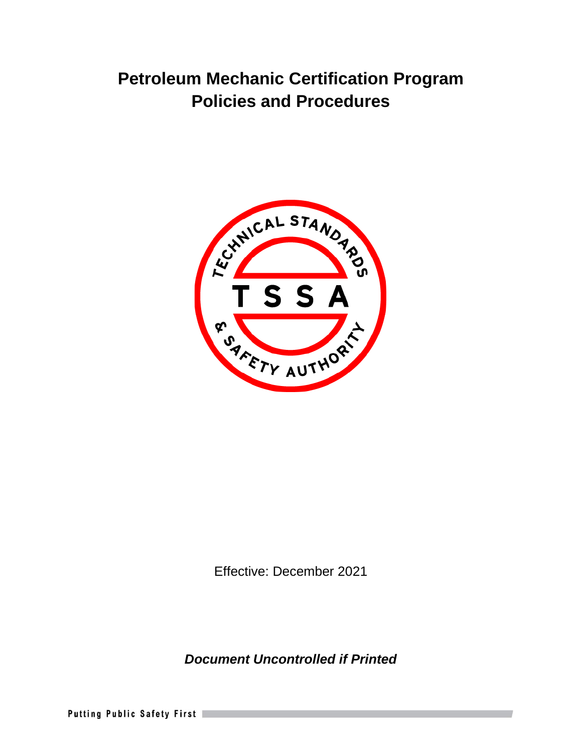# **Petroleum Mechanic Certification Program Policies and Procedures**



Effective: December 2021

*Document Uncontrolled if Printed* 

Putting Public Safety First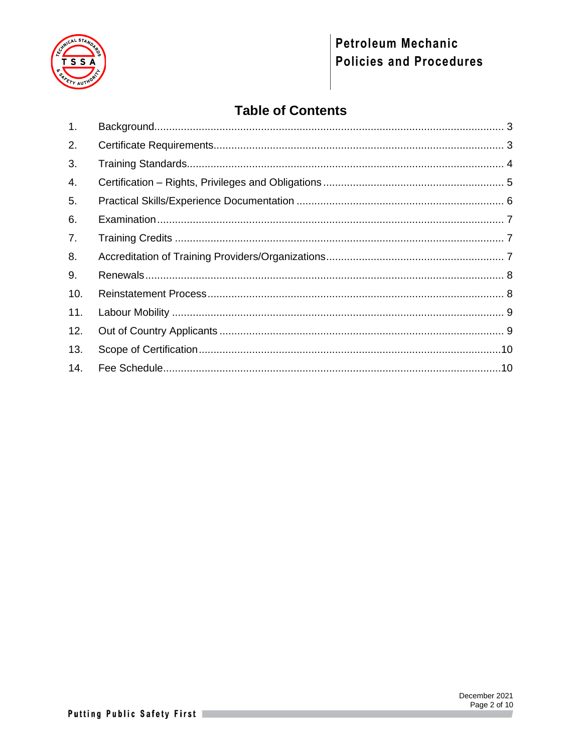

# Petroleum Mechanic **Policies and Procedures**

# **Table of Contents**

| $\mathbf{1}$ . |  |
|----------------|--|
| 2.             |  |
| 3.             |  |
| 4.             |  |
| 5.             |  |
| 6.             |  |
| 7.             |  |
| 8.             |  |
| 9.             |  |
| 10.            |  |
| 11.            |  |
| 12.            |  |
| 13.            |  |
| 14.            |  |

 $\overline{\phantom{a}}$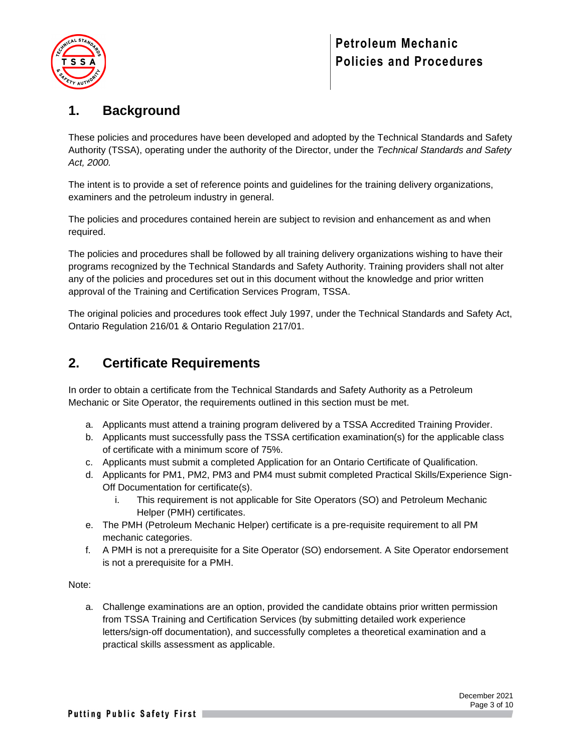

## <span id="page-2-0"></span>**1. Background**

These policies and procedures have been developed and adopted by the Technical Standards and Safety Authority (TSSA), operating under the authority of the Director, under the *Technical Standards and Safety Act, 2000.*

The intent is to provide a set of reference points and guidelines for the training delivery organizations, examiners and the petroleum industry in general.

The policies and procedures contained herein are subject to revision and enhancement as and when required.

The policies and procedures shall be followed by all training delivery organizations wishing to have their programs recognized by the Technical Standards and Safety Authority. Training providers shall not alter any of the policies and procedures set out in this document without the knowledge and prior written approval of the Training and Certification Services Program, TSSA.

The original policies and procedures took effect July 1997, under the Technical Standards and Safety Act, Ontario Regulation 216/01 & Ontario Regulation 217/01.

## <span id="page-2-1"></span>**2. Certificate Requirements**

In order to obtain a certificate from the Technical Standards and Safety Authority as a Petroleum Mechanic or Site Operator, the requirements outlined in this section must be met.

- a. Applicants must attend a training program delivered by a TSSA Accredited Training Provider.
- b. Applicants must successfully pass the TSSA certification examination(s) for the applicable class of certificate with a minimum score of 75%.
- c. Applicants must submit a completed Application for an Ontario Certificate of Qualification.
- d. Applicants for PM1, PM2, PM3 and PM4 must submit completed Practical Skills/Experience Sign-Off Documentation for certificate(s).
	- i. This requirement is not applicable for Site Operators (SO) and Petroleum Mechanic Helper (PMH) certificates.
- e. The PMH (Petroleum Mechanic Helper) certificate is a pre-requisite requirement to all PM mechanic categories.
- f. A PMH is not a prerequisite for a Site Operator (SO) endorsement. A Site Operator endorsement is not a prerequisite for a PMH.

#### Note:

a. Challenge examinations are an option, provided the candidate obtains prior written permission from TSSA Training and Certification Services (by submitting detailed work experience letters/sign-off documentation), and successfully completes a theoretical examination and a practical skills assessment as applicable.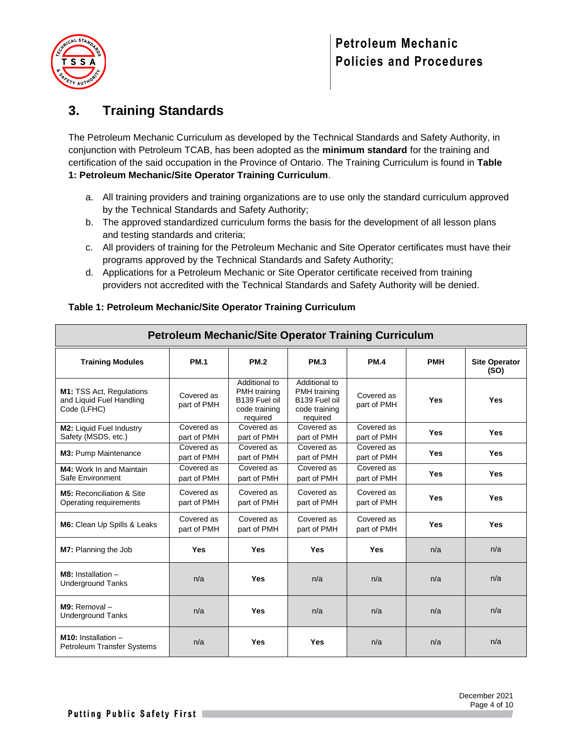

# <span id="page-3-0"></span>**3. Training Standards**

The Petroleum Mechanic Curriculum as developed by the Technical Standards and Safety Authority, in conjunction with Petroleum TCAB, has been adopted as the **minimum standard** for the training and certification of the said occupation in the Province of Ontario. The Training Curriculum is found in **Table 1: Petroleum Mechanic/Site Operator Training Curriculum**.

- a. All training providers and training organizations are to use only the standard curriculum approved by the Technical Standards and Safety Authority;
- b. The approved standardized curriculum forms the basis for the development of all lesson plans and testing standards and criteria;
- c. All providers of training for the Petroleum Mechanic and Site Operator certificates must have their programs approved by the Technical Standards and Safety Authority;
- d. Applications for a Petroleum Mechanic or Site Operator certificate received from training providers not accredited with the Technical Standards and Safety Authority will be denied.

| <b>Petroleum Mechanic/Site Operator Training Curriculum</b>         |                           |                                                                             |                                                                             |                           |            |                              |
|---------------------------------------------------------------------|---------------------------|-----------------------------------------------------------------------------|-----------------------------------------------------------------------------|---------------------------|------------|------------------------------|
| <b>Training Modules</b>                                             | <b>PM.1</b>               | <b>PM.2</b>                                                                 | <b>PM.3</b>                                                                 | <b>PM.4</b>               | <b>PMH</b> | <b>Site Operator</b><br>(SO) |
| M1: TSS Act, Regulations<br>and Liquid Fuel Handling<br>Code (LFHC) | Covered as<br>part of PMH | Additional to<br>PMH training<br>B139 Fuel oil<br>code training<br>required | Additional to<br>PMH training<br>B139 Fuel oil<br>code training<br>required | Covered as<br>part of PMH | <b>Yes</b> | <b>Yes</b>                   |
| <b>M2:</b> Liquid Fuel Industry<br>Safety (MSDS, etc.)              | Covered as<br>part of PMH | Covered as<br>part of PMH                                                   | Covered as<br>part of PMH                                                   | Covered as<br>part of PMH | <b>Yes</b> | <b>Yes</b>                   |
| M3: Pump Maintenance                                                | Covered as<br>part of PMH | Covered as<br>part of PMH                                                   | Covered as<br>part of PMH                                                   | Covered as<br>part of PMH | <b>Yes</b> | Yes                          |
| <b>M4:</b> Work In and Maintain<br>Safe Environment                 | Covered as<br>part of PMH | Covered as<br>part of PMH                                                   | Covered as<br>part of PMH                                                   | Covered as<br>part of PMH | Yes        | <b>Yes</b>                   |
| M5: Reconciliation & Site<br>Operating requirements                 | Covered as<br>part of PMH | Covered as<br>part of PMH                                                   | Covered as<br>part of PMH                                                   | Covered as<br>part of PMH | Yes        | Yes                          |
| M6: Clean Up Spills & Leaks                                         | Covered as<br>part of PMH | Covered as<br>part of PMH                                                   | Covered as<br>part of PMH                                                   | Covered as<br>part of PMH | Yes        | <b>Yes</b>                   |
| M7: Planning the Job                                                | Yes                       | Yes                                                                         | Yes                                                                         | Yes                       | n/a        | n/a                          |
| $M8:$ Installation $-$<br><b>Underground Tanks</b>                  | n/a                       | <b>Yes</b>                                                                  | n/a                                                                         | n/a                       | n/a        | n/a                          |
| $M9:$ Removal $-$<br><b>Underground Tanks</b>                       | n/a                       | Yes                                                                         | n/a                                                                         | n/a                       | n/a        | n/a                          |
| $M10:$ Installation $-$<br><b>Petroleum Transfer Systems</b>        | n/a                       | <b>Yes</b>                                                                  | <b>Yes</b>                                                                  | n/a                       | n/a        | n/a                          |

#### **Table 1: Petroleum Mechanic/Site Operator Training Curriculum**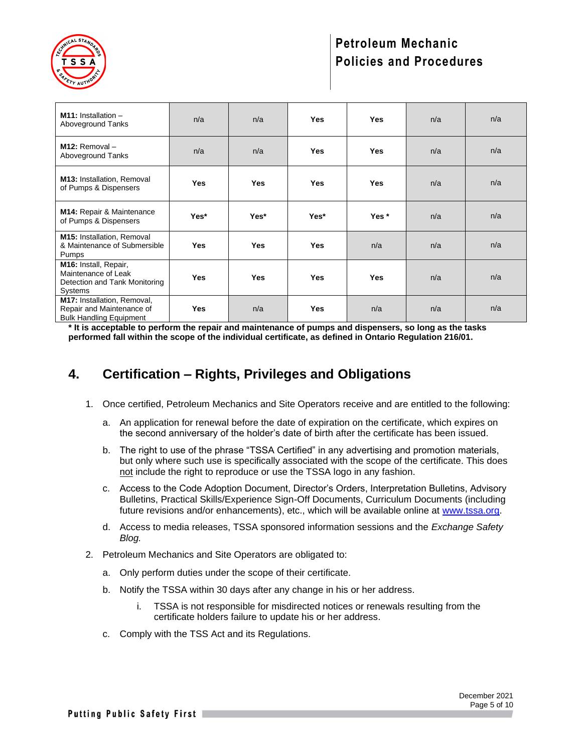

# **Petroleum Mechanic Policies and Procedures**

| <b>M11:</b> Installation $-$<br>Aboveground Tanks                                          | n/a        | n/a        | <b>Yes</b> | <b>Yes</b> | n/a | n/a |
|--------------------------------------------------------------------------------------------|------------|------------|------------|------------|-----|-----|
| $M12:$ Removal $-$<br>Aboveground Tanks                                                    | n/a        | n/a        | <b>Yes</b> | <b>Yes</b> | n/a | n/a |
| <b>M13: Installation, Removal</b><br>of Pumps & Dispensers                                 | <b>Yes</b> | <b>Yes</b> | <b>Yes</b> | <b>Yes</b> | n/a | n/a |
| M14: Repair & Maintenance<br>of Pumps & Dispensers                                         | Yes*       | Yes*       | Yes*       | Yes*       | n/a | n/a |
| <b>M15: Installation, Removal</b><br>& Maintenance of Submersible<br>Pumps                 | <b>Yes</b> | <b>Yes</b> | <b>Yes</b> | n/a        | n/a | n/a |
| M16: Install, Repair,<br>Maintenance of Leak<br>Detection and Tank Monitoring<br>Systems   | <b>Yes</b> | <b>Yes</b> | <b>Yes</b> | <b>Yes</b> | n/a | n/a |
| M17: Installation, Removal,<br>Repair and Maintenance of<br><b>Bulk Handling Equipment</b> | <b>Yes</b> | n/a        | <b>Yes</b> | n/a        | n/a | n/a |

**\* It is acceptable to perform the repair and maintenance of pumps and dispensers, so long as the tasks performed fall within the scope of the individual certificate, as defined in Ontario Regulation 216/01.** 

## <span id="page-4-0"></span>**4. Certification – Rights, Privileges and Obligations**

- 1. Once certified, Petroleum Mechanics and Site Operators receive and are entitled to the following:
	- a. An application for renewal before the date of expiration on the certificate, which expires on the second anniversary of the holder's date of birth after the certificate has been issued.
	- b. The right to use of the phrase "TSSA Certified" in any advertising and promotion materials, but only where such use is specifically associated with the scope of the certificate. This does not include the right to reproduce or use the TSSA logo in any fashion.
	- c. Access to the Code Adoption Document, Director's Orders, Interpretation Bulletins, Advisory Bulletins, Practical Skills/Experience Sign-Off Documents, Curriculum Documents (including future revisions and/or enhancements), etc., which will be available online at [www.tssa.org.](http://www.tssa.org/)
	- d. Access to media releases, TSSA sponsored information sessions and the *Exchange Safety Blog.*
- 2. Petroleum Mechanics and Site Operators are obligated to:
	- a. Only perform duties under the scope of their certificate.
	- b. Notify the TSSA within 30 days after any change in his or her address.
		- i. TSSA is not responsible for misdirected notices or renewals resulting from the certificate holders failure to update his or her address.
	- c. Comply with the TSS Act and its Regulations.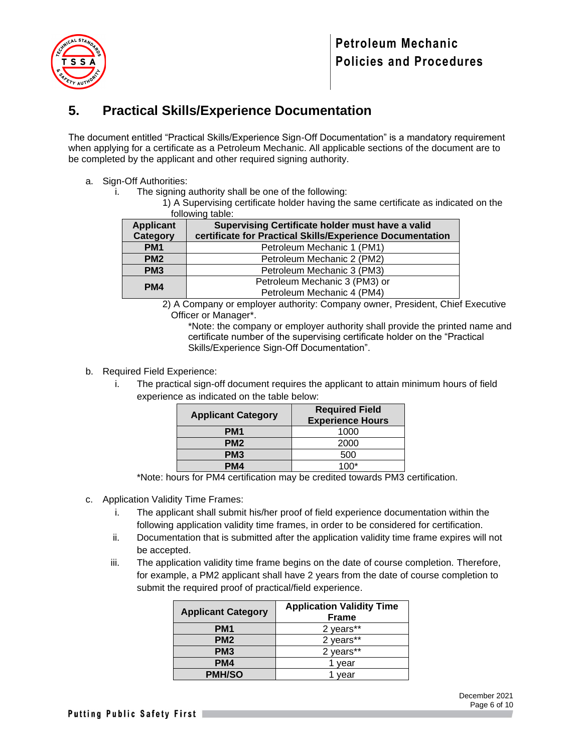

## <span id="page-5-0"></span>**5. Practical Skills/Experience Documentation**

The document entitled "Practical Skills/Experience Sign-Off Documentation" is a mandatory requirement when applying for a certificate as a Petroleum Mechanic. All applicable sections of the document are to be completed by the applicant and other required signing authority.

- a. Sign-Off Authorities:
	- i. The signing authority shall be one of the following:
		- 1) A Supervising certificate holder having the same certificate as indicated on the following table:

| 101101111111111111011011 |                                                           |  |  |  |
|--------------------------|-----------------------------------------------------------|--|--|--|
| <b>Applicant</b>         | Supervising Certificate holder must have a valid          |  |  |  |
| Category                 | certificate for Practical Skills/Experience Documentation |  |  |  |
| PM <sub>1</sub>          | Petroleum Mechanic 1 (PM1)                                |  |  |  |
| PM <sub>2</sub>          | Petroleum Mechanic 2 (PM2)                                |  |  |  |
| PM <sub>3</sub>          | Petroleum Mechanic 3 (PM3)                                |  |  |  |
| PM4                      | Petroleum Mechanic 3 (PM3) or                             |  |  |  |
|                          | Petroleum Mechanic 4 (PM4)                                |  |  |  |
|                          |                                                           |  |  |  |

2) A Company or employer authority: Company owner, President, Chief Executive Officer or Manager\*.

\*Note: the company or employer authority shall provide the printed name and certificate number of the supervising certificate holder on the "Practical Skills/Experience Sign-Off Documentation".

- b. Required Field Experience:
	- i. The practical sign-off document requires the applicant to attain minimum hours of field experience as indicated on the table below:

| <b>Applicant Category</b> | <b>Required Field</b><br><b>Experience Hours</b> |  |  |
|---------------------------|--------------------------------------------------|--|--|
| PM <sub>1</sub>           | 1000                                             |  |  |
| PM <sub>2</sub>           | 2000                                             |  |  |
| PM <sub>3</sub>           | 500                                              |  |  |
| PM4                       | 1በበ*                                             |  |  |

\*Note: hours for PM4 certification may be credited towards PM3 certification.

- c. Application Validity Time Frames:
	- i. The applicant shall submit his/her proof of field experience documentation within the following application validity time frames, in order to be considered for certification.
	- ii. Documentation that is submitted after the application validity time frame expires will not be accepted.
	- iii. The application validity time frame begins on the date of course completion. Therefore, for example, a PM2 applicant shall have 2 years from the date of course completion to submit the required proof of practical/field experience.

| <b>Applicant Category</b> | <b>Application Validity Time</b><br><b>Frame</b> |
|---------------------------|--------------------------------------------------|
| PM <sub>1</sub>           | 2 years**                                        |
| PM <sub>2</sub>           | 2 years**                                        |
| PM <sub>3</sub>           | 2 years**                                        |
| PM4                       | vear                                             |
| <b>PMH/SO</b>             | vear                                             |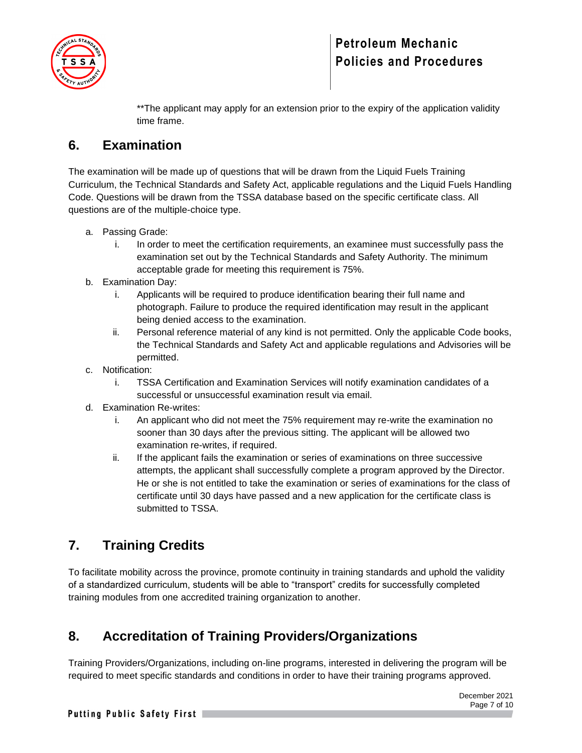

# **Petroleum Mechanic Policies and Procedures**

\*\*The applicant may apply for an extension prior to the expiry of the application validity time frame.

# <span id="page-6-0"></span>**6. Examination**

The examination will be made up of questions that will be drawn from the Liquid Fuels Training Curriculum, the Technical Standards and Safety Act, applicable regulations and the Liquid Fuels Handling Code. Questions will be drawn from the TSSA database based on the specific certificate class. All questions are of the multiple-choice type.

- a. Passing Grade:
	- i. In order to meet the certification requirements, an examinee must successfully pass the examination set out by the Technical Standards and Safety Authority. The minimum acceptable grade for meeting this requirement is 75%.
- b. Examination Day:
	- i. Applicants will be required to produce identification bearing their full name and photograph. Failure to produce the required identification may result in the applicant being denied access to the examination.
	- ii. Personal reference material of any kind is not permitted. Only the applicable Code books, the Technical Standards and Safety Act and applicable regulations and Advisories will be permitted.
- c. Notification:
	- i. TSSA Certification and Examination Services will notify examination candidates of a successful or unsuccessful examination result via email.
- d. Examination Re-writes:
	- i. An applicant who did not meet the 75% requirement may re-write the examination no sooner than 30 days after the previous sitting. The applicant will be allowed two examination re-writes, if required.
	- ii. If the applicant fails the examination or series of examinations on three successive attempts, the applicant shall successfully complete a program approved by the Director. He or she is not entitled to take the examination or series of examinations for the class of certificate until 30 days have passed and a new application for the certificate class is submitted to TSSA.

# <span id="page-6-1"></span>**7. Training Credits**

To facilitate mobility across the province, promote continuity in training standards and uphold the validity of a standardized curriculum, students will be able to "transport" credits for successfully completed training modules from one accredited training organization to another.

# <span id="page-6-2"></span>**8. Accreditation of Training Providers/Organizations**

Training Providers/Organizations, including on-line programs, interested in delivering the program will be required to meet specific standards and conditions in order to have their training programs approved.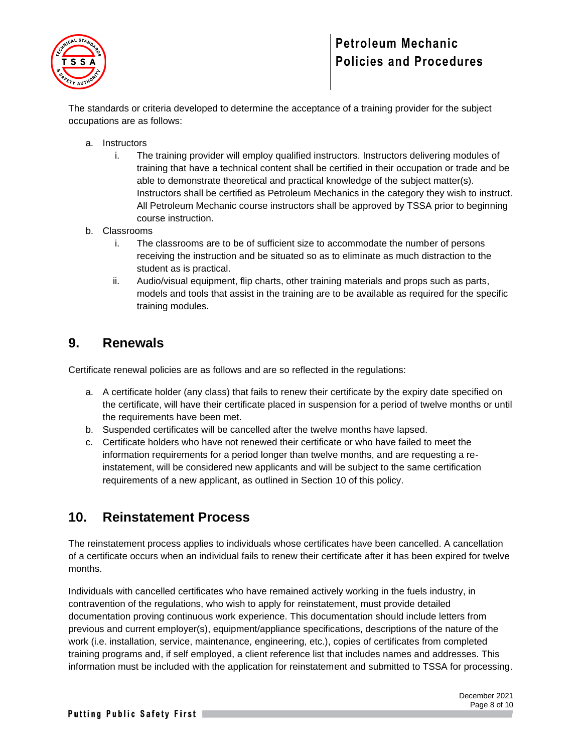

# **Petroleum Mechanic Policies and Procedures**

The standards or criteria developed to determine the acceptance of a training provider for the subject occupations are as follows:

- a. Instructors
	- i. The training provider will employ qualified instructors. Instructors delivering modules of training that have a technical content shall be certified in their occupation or trade and be able to demonstrate theoretical and practical knowledge of the subject matter(s). Instructors shall be certified as Petroleum Mechanics in the category they wish to instruct. All Petroleum Mechanic course instructors shall be approved by TSSA prior to beginning course instruction.
- b. Classrooms
	- i. The classrooms are to be of sufficient size to accommodate the number of persons receiving the instruction and be situated so as to eliminate as much distraction to the student as is practical.
	- ii. Audio/visual equipment, flip charts, other training materials and props such as parts, models and tools that assist in the training are to be available as required for the specific training modules.

## <span id="page-7-0"></span>**9. Renewals**

Certificate renewal policies are as follows and are so reflected in the regulations:

- a. A certificate holder (any class) that fails to renew their certificate by the expiry date specified on the certificate, will have their certificate placed in suspension for a period of twelve months or until the requirements have been met.
- b. Suspended certificates will be cancelled after the twelve months have lapsed.
- c. Certificate holders who have not renewed their certificate or who have failed to meet the information requirements for a period longer than twelve months, and are requesting a reinstatement, will be considered new applicants and will be subject to the same certification requirements of a new applicant, as outlined in Section 10 of this policy.

#### <span id="page-7-1"></span>**10. Reinstatement Process**

The reinstatement process applies to individuals whose certificates have been cancelled. A cancellation of a certificate occurs when an individual fails to renew their certificate after it has been expired for twelve months.

Individuals with cancelled certificates who have remained actively working in the fuels industry, in contravention of the regulations, who wish to apply for reinstatement, must provide detailed documentation proving continuous work experience. This documentation should include letters from previous and current employer(s), equipment/appliance specifications, descriptions of the nature of the work (i.e. installation, service, maintenance, engineering, etc.), copies of certificates from completed training programs and, if self employed, a client reference list that includes names and addresses. This information must be included with the application for reinstatement and submitted to TSSA for processing.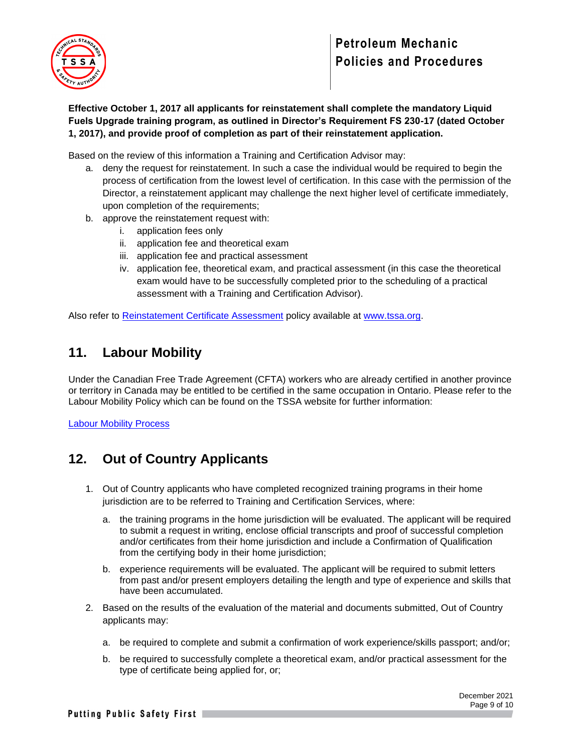

**Effective October 1, 2017 all applicants for reinstatement shall complete the mandatory Liquid Fuels Upgrade training program, as outlined in Director's Requirement FS 230-17 (dated October 1, 2017), and provide proof of completion as part of their reinstatement application.** 

Based on the review of this information a Training and Certification Advisor may:

- a. deny the request for reinstatement. In such a case the individual would be required to begin the process of certification from the lowest level of certification. In this case with the permission of the Director, a reinstatement applicant may challenge the next higher level of certificate immediately, upon completion of the requirements;
- b. approve the reinstatement request with:
	- i. application fees only
	- ii. application fee and theoretical exam
	- iii. application fee and practical assessment
	- iv. application fee, theoretical exam, and practical assessment (in this case the theoretical exam would have to be successfully completed prior to the scheduling of a practical assessment with a Training and Certification Advisor).

Also refer to [Reinstatement Certificate Assessment](https://www.tssa.org/en/fuels/resources/Documents/Reinstatement-Certificate-Assessment-Guide---FS---November-2017_2.pdf) policy available at [www.tssa.org.](http://www.tssa.org/)

#### <span id="page-8-0"></span>**11. Labour Mobility**

Under the Canadian Free Trade Agreement (CFTA) workers who are already certified in another province or territory in Canada may be entitled to be certified in the same occupation in Ontario. Please refer to the Labour Mobility Policy which can be found on the TSSA website for further information:

[Labour Mobility Process](https://www.tssa.org/en/fuels/labour-mobility.aspx)

## <span id="page-8-1"></span>**12. Out of Country Applicants**

- 1. Out of Country applicants who have completed recognized training programs in their home jurisdiction are to be referred to Training and Certification Services, where:
	- a. the training programs in the home jurisdiction will be evaluated. The applicant will be required to submit a request in writing, enclose official transcripts and proof of successful completion and/or certificates from their home jurisdiction and include a Confirmation of Qualification from the certifying body in their home jurisdiction;
	- b. experience requirements will be evaluated. The applicant will be required to submit letters from past and/or present employers detailing the length and type of experience and skills that have been accumulated.
- 2. Based on the results of the evaluation of the material and documents submitted, Out of Country applicants may:
	- a. be required to complete and submit a confirmation of work experience/skills passport; and/or;
	- b. be required to successfully complete a theoretical exam, and/or practical assessment for the type of certificate being applied for, or;